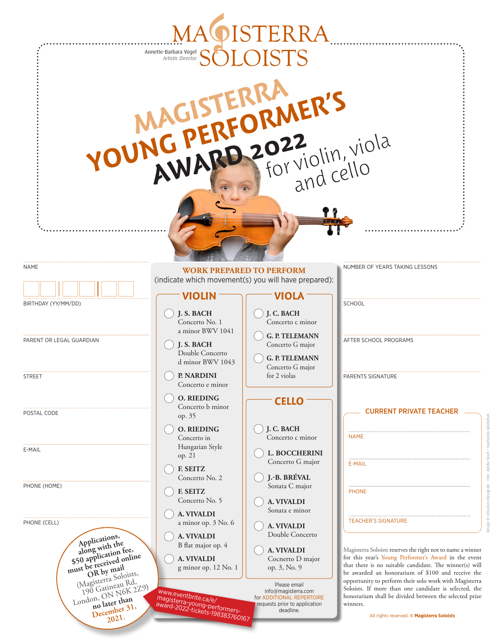|                                                                                                                                    | Annette-Barbara Vogel<br>Artistic Director                                                                        | MAOISTERRA                                                                                                                              |                                                                                                                                                                                                                                                                                                                             |
|------------------------------------------------------------------------------------------------------------------------------------|-------------------------------------------------------------------------------------------------------------------|-----------------------------------------------------------------------------------------------------------------------------------------|-----------------------------------------------------------------------------------------------------------------------------------------------------------------------------------------------------------------------------------------------------------------------------------------------------------------------------|
|                                                                                                                                    | YOUNG PERFORMER'S                                                                                                 |                                                                                                                                         |                                                                                                                                                                                                                                                                                                                             |
| <b>NAME</b>                                                                                                                        | <b>WORK PREPARED TO PERFORM</b><br>(indicate which movement(s) you will have prepared):                           |                                                                                                                                         | NUMBER OF YEARS TAKING LESSONS                                                                                                                                                                                                                                                                                              |
| BIRTHDAY (YY/MM/DD)                                                                                                                | VIOLIN                                                                                                            | <b>VIOLA</b>                                                                                                                            | <b>SCHOOL</b>                                                                                                                                                                                                                                                                                                               |
| PARENT OR LEGAL GUARDIAN<br><b>STREET</b>                                                                                          | J.S. BACH<br>Concerto No. 1<br>a minor BWV 1041<br>J.S. BACH<br>Double Concerto<br>d minor BWV 1043<br>P. NARDINI | J.C. BACH<br>Concerto c minor<br><b>G. P. TELEMANN</b><br>Concerto G major<br><b>G. P. TELEMANN</b><br>Concerto G major<br>for 2 violas | AFTER SCHOOL PROGRAMS<br>PARENTS SIGNATURE                                                                                                                                                                                                                                                                                  |
| POSTAL CODE                                                                                                                        | Concerto e minor<br><b>O. RIEDING</b><br>Concerto b minor<br>op. 35<br><b>O. RIEDING</b>                          | <b>CELLO</b><br>J. C. BACH                                                                                                              | <b>CURRENT PRIVATE TEACHER</b>                                                                                                                                                                                                                                                                                              |
| E-MAIL                                                                                                                             | Concerto in<br>Hungarian Style<br>op. 21<br><b>F. SEITZ</b>                                                       | Concerto c minor<br>L. BOCCHERINI<br>Concerto G major                                                                                   | <b>NAME</b><br>E-MAIL                                                                                                                                                                                                                                                                                                       |
| PHONE (HOME)                                                                                                                       | Concerto No. 2<br><b>F. SEITZ</b><br>Concerto No. 5                                                               | J.-B. BRÉVAL<br>Sonata C major<br><b>A. VIVALDI</b><br>Sonata e minor                                                                   | <b>PHONE</b>                                                                                                                                                                                                                                                                                                                |
| PHONE (CELL)<br>Applications,<br>Apple with the store with the space of the received online<br>OR by mail<br>(Magisterra Soloists, | A. VIVALDI<br>a minor op. 3 No. 6<br>A. VIVALDI<br>B flat major op. 4<br>A. VIVALDI<br>g minor op. 12 No. 1       | <b>A. VIVALDI</b><br>Double Concerto<br><b>A. VIVALDI</b><br>Cocnerto D major<br>op. 3, No. 9                                           | <b>TEACHER'S SIGNATURE</b><br>Magisterra Soloists reserves the right not to name a winner<br>for this year's Young Performer's Award in the event<br>that there is no suitable candidate. The winner(s) will<br>be awarded an honorarium of \$100 and receive the<br>opportunity to perform their solo work with Magisterra |
| London, ON N6K 2Z9)<br>no later than<br>December 31,<br>2021.                                                                      | www.eventbrite.ca/e/<br>magisterra-young-performers-<br>  award-2022-tickets-198383760167                         | Please email<br>info@magisterra.com<br>for ADDITIONAL REPERTOIRE<br>requests prior to application<br>deadline.                          | Soloists. If more than one candidate is selected, the<br>honorarium shall be divided between the selected prize<br>winners.<br>All rights reserved. © Magisterra Soloists                                                                                                                                                   |

Design © info@cev-design.de Foto: Adobe Stock – Viacheslav Iakobchuk

Design © info@cev-design.de Foto: Adobe Stock – Viacheslav lakobchuk